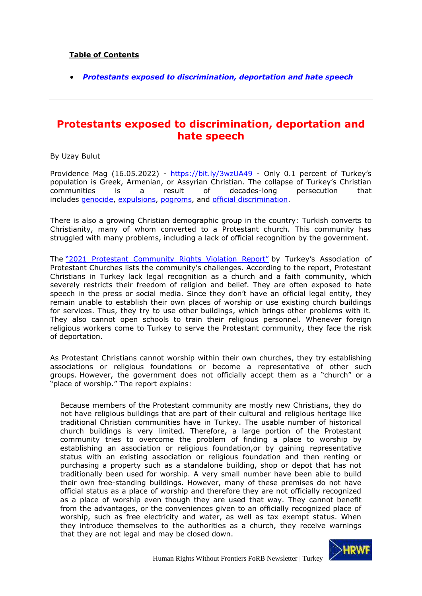## **Table of Contents**

• *[Protestants exposed to discrimination, deportation and hate speech](#page-0-0)*

## <span id="page-0-0"></span>**Protestants exposed to discrimination, deportation and hate speech**

By Uzay Bulut

Providence Mag (16.05.2022) - <https://bit.ly/3wzUA49> - Only 0.1 percent of Turkey's population is Greek, Armenian, or Assyrian Christian. The collapse of Turkey's Christian communities is a result of decades-long persecution that includes [genocide,](https://hellenicresearchcenter.org/publications/genocide-in-the-ottoman-empire-armenians-assyrians-and-greeks-1913-1923/) [expulsions,](https://m.bianet.org/biamag/toplum/173121-1964-te-goc-ettirilen-rumlar-bir-daha-donmedi) [pogroms,](https://digitalcommons.usf.edu/cgi/viewcontent.cgi?article=1206&context=gsp) and [official discrimination.](https://www.hrw.org/sites/default/files/reports/TURKEY923.PDF)

There is also a growing Christian demographic group in the country: Turkish converts to Christianity, many of whom converted to a Protestant church. This community has struggled with many problems, including a lack of official recognition by the government.

The ["2021 Protestant Community Rights Violation Report"](http://www.protestankiliseler.org/?p=1075) by Turkey's Association of Protestant Churches lists the community's challenges. According to the report, Protestant Christians in Turkey lack legal recognition as a church and a faith community, which severely restricts their freedom of religion and belief. They are often exposed to hate speech in the press or social media. Since they don't have an official legal entity, they remain unable to establish their own places of worship or use existing church buildings for services. Thus, they try to use other buildings, which brings other problems with it. They also cannot open schools to train their religious personnel. Whenever foreign religious workers come to Turkey to serve the Protestant community, they face the risk of deportation.

As Protestant Christians cannot worship within their own churches, they try establishing associations or religious foundations or become a representative of other such groups. However, the government does not officially accept them as a "church" or a "place of worship." The report explains:

Because members of the Protestant community are mostly new Christians, they do not have religious buildings that are part of their cultural and religious heritage like traditional Christian communities have in Turkey. The usable number of historical church buildings is very limited. Therefore, a large portion of the Protestant community tries to overcome the problem of finding a place to worship by establishing an association or religious foundation,or by gaining representative status with an existing association or religious foundation and then renting or purchasing a property such as a standalone building, shop or depot that has not traditionally been used for worship. A very small number have been able to build their own free-standing buildings. However, many of these premises do not have official status as a place of worship and therefore they are not officially recognized as a place of worship even though they are used that way. They cannot benefit from the advantages, or the conveniences given to an officially recognized place of worship, such as free electricity and water, as well as tax exempt status. When they introduce themselves to the authorities as a church, they receive warnings that they are not legal and may be closed down.

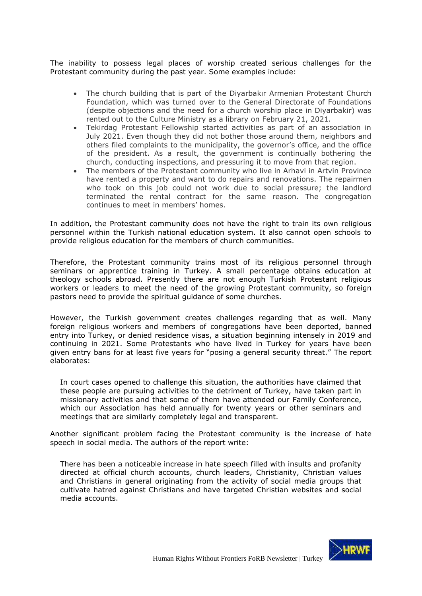The inability to possess legal places of worship created serious challenges for the Protestant community during the past year. Some examples include:

- The church building that is part of the Diyarbakır Armenian Protestant Church Foundation, which was turned over to the General Directorate of Foundations (despite objections and the need for a church worship place in Diyarbakir) was rented out to the Culture Ministry as a library on February 21, 2021.
- Tekirdag Protestant Fellowship started activities as part of an association in July 2021. Even though they did not bother those around them, neighbors and others filed complaints to the municipality, the governor's office, and the office of the president. As a result, the government is continually bothering the church, conducting inspections, and pressuring it to move from that region.
- The members of the Protestant community who live in Arhavi in Artvin Province have rented a property and want to do repairs and renovations. The repairmen who took on this job could not work due to social pressure; the landlord terminated the rental contract for the same reason. The congregation continues to meet in members' homes.

In addition, the Protestant community does not have the right to train its own religious personnel within the Turkish national education system. It also cannot open schools to provide religious education for the members of church communities.

Therefore, the Protestant community trains most of its religious personnel through seminars or apprentice training in Turkey. A small percentage obtains education at theology schools abroad. Presently there are not enough Turkish Protestant religious workers or leaders to meet the need of the growing Protestant community, so foreign pastors need to provide the spiritual guidance of some churches.

However, the Turkish government creates challenges regarding that as well. Many foreign religious workers and members of congregations have been deported, banned entry into Turkey, or denied residence visas, a situation beginning intensely in 2019 and continuing in 2021. Some Protestants who have lived in Turkey for years have been given entry bans for at least five years for "posing a general security threat." The report elaborates:

In court cases opened to challenge this situation, the authorities have claimed that these people are pursuing activities to the detriment of Turkey, have taken part in missionary activities and that some of them have attended our Family Conference, which our Association has held annually for twenty years or other seminars and meetings that are similarly completely legal and transparent.

Another significant problem facing the Protestant community is the increase of hate speech in social media. The authors of the report write:

There has been a noticeable increase in hate speech filled with insults and profanity directed at official church accounts, church leaders, Christianity, Christian values and Christians in general originating from the activity of social media groups that cultivate hatred against Christians and have targeted Christian websites and social media accounts.

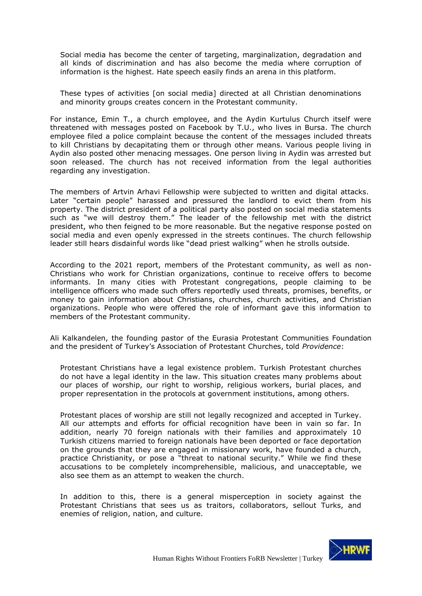Social media has become the center of targeting, marginalization, degradation and all kinds of discrimination and has also become the media where corruption of information is the highest. Hate speech easily finds an arena in this platform.

These types of activities [on social media] directed at all Christian denominations and minority groups creates concern in the Protestant community.

For instance, Emin T., a church employee, and the Aydin Kurtulus Church itself were threatened with messages posted on Facebook by T.U., who lives in Bursa. The church employee filed a police complaint because the content of the messages included threats to kill Christians by decapitating them or through other means. Various people living in Aydin also posted other menacing messages. One person living in Aydin was arrested but soon released. The church has not received information from the legal authorities regarding any investigation.

The members of Artvin Arhavi Fellowship were subjected to written and digital attacks. Later "certain people" harassed and pressured the landlord to evict them from his property. The district president of a political party also posted on social media statements such as "we will destroy them." The leader of the fellowship met with the district president, who then feigned to be more reasonable. But the negative response posted on social media and even openly expressed in the streets continues. The church fellowship leader still hears disdainful words like "dead priest walking" when he strolls outside.

According to the 2021 report, members of the Protestant community, as well as non-Christians who work for Christian organizations, continue to receive offers to become informants. In many cities with Protestant congregations, people claiming to be intelligence officers who made such offers reportedly used threats, promises, benefits, or money to gain information about Christians, churches, church activities, and Christian organizations. People who were offered the role of informant gave this information to members of the Protestant community.

Ali Kalkandelen, the founding pastor of the Eurasia Protestant Communities Foundation and the president of Turkey's Association of Protestant Churches, told *Providence*:

Protestant Christians have a legal existence problem. Turkish Protestant churches do not have a legal identity in the law. This situation creates many problems about our places of worship, our right to worship, religious workers, burial places, and proper representation in the protocols at government institutions, among others.

Protestant places of worship are still not legally recognized and accepted in Turkey. All our attempts and efforts for official recognition have been in vain so far. In addition, nearly 70 foreign nationals with their families and approximately 10 Turkish citizens married to foreign nationals have been deported or face deportation on the grounds that they are engaged in missionary work, have founded a church, practice Christianity, or pose a "threat to national security." While we find these accusations to be completely incomprehensible, malicious, and unacceptable, we also see them as an attempt to weaken the church.

In addition to this, there is a general misperception in society against the Protestant Christians that sees us as traitors, collaborators, sellout Turks, and enemies of religion, nation, and culture.

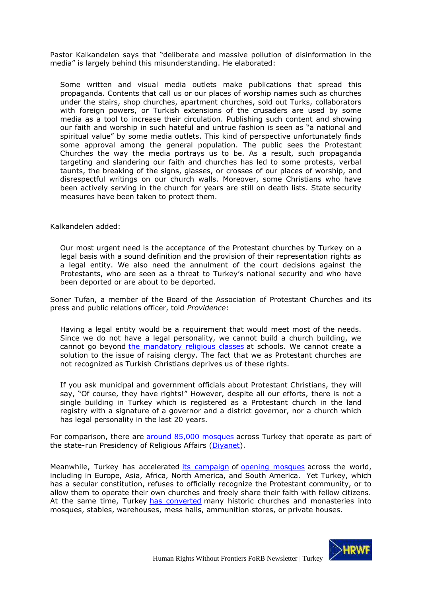Pastor Kalkandelen says that "deliberate and massive pollution of disinformation in the media" is largely behind this misunderstanding. He elaborated:

Some written and visual media outlets make publications that spread this propaganda. Contents that call us or our places of worship names such as churches under the stairs, shop churches, apartment churches, sold out Turks, collaborators with foreign powers, or Turkish extensions of the crusaders are used by some media as a tool to increase their circulation. Publishing such content and showing our faith and worship in such hateful and untrue fashion is seen as "a national and spiritual value" by some media outlets. This kind of perspective unfortunately finds some approval among the general population. The public sees the Protestant Churches the way the media portrays us to be. As a result, such propaganda targeting and slandering our faith and churches has led to some protests, verbal taunts, the breaking of the signs, glasses, or crosses of our places of worship, and disrespectful writings on our church walls. Moreover, some Christians who have been actively serving in the church for years are still on death lists. State security measures have been taken to protect them.

Kalkandelen added:

Our most urgent need is the acceptance of the Protestant churches by Turkey on a legal basis with a sound definition and the provision of their representation rights as a legal entity. We also need the annulment of the court decisions against the Protestants, who are seen as a threat to Turkey's national security and who have been deported or are about to be deported.

Soner Tufan, a member of the Board of the Association of Protestant Churches and its press and public relations officer, told *Providence*:

Having a legal entity would be a requirement that would meet most of the needs. Since we do not have a legal personality, we cannot build a church building, we cannot go beyond the mandatory religious classes at schools. We cannot create a solution to the issue of raising clergy. The fact that we as Protestant churches are not recognized as Turkish Christians deprives us of these rights.

If you ask municipal and government officials about Protestant Christians, they will say, "Of course, they have rights!" However, despite all our efforts, there is not a single building in Turkey which is registered as a Protestant church in the land registry with a signature of a governor and a district governor, nor a church which has legal personality in the last 20 years.

For comparison, there are around 85,000 mosques across Turkey that operate as part of the state-run Presidency of Religious Affairs (Diyanet).

Meanwhile, Turkey has accelerated its campaign of opening mosques across the world, including in Europe, Asia, Africa, North America, and South America. Yet Turkey, which has a secular constitution, refuses to officially recognize the Protestant community, or to allow them to operate their own churches and freely share their faith with fellow citizens. At the same time, Turkey has converted many historic churches and monasteries into mosques, stables, warehouses, mess halls, ammunition stores, or private houses.